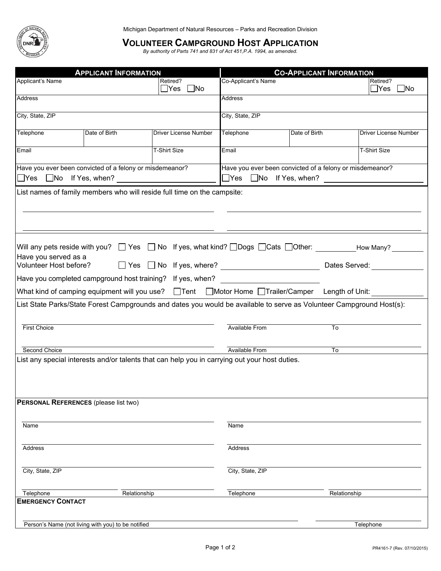

## **VOLUNTEER CAMPGROUND HOST APPLICATION**<br>*By authority of Parts 741 and 831 of Act 451,P.A. 1994, as amended.*

| <b>APPLICANT INFORMATION</b>                                                                                                                  |                                                                         |                                        | <b>CO-APPLICANT INFORMATION</b>                                                                |                                                                                                                      |                                |  |
|-----------------------------------------------------------------------------------------------------------------------------------------------|-------------------------------------------------------------------------|----------------------------------------|------------------------------------------------------------------------------------------------|----------------------------------------------------------------------------------------------------------------------|--------------------------------|--|
| Applicant's Name                                                                                                                              |                                                                         | Retired?<br>$\square$ No<br>$\Box$ Yes | Co-Applicant's Name                                                                            |                                                                                                                      | Retired?<br>$\gamma$ es<br> No |  |
| Address                                                                                                                                       |                                                                         |                                        | <b>Address</b>                                                                                 |                                                                                                                      |                                |  |
| City, State, ZIP                                                                                                                              |                                                                         |                                        | City, State, ZIP                                                                               |                                                                                                                      |                                |  |
| Telephone                                                                                                                                     | Date of Birth                                                           | Driver License Number                  | Telephone                                                                                      | Date of Birth                                                                                                        | <b>Driver License Number</b>   |  |
| Email                                                                                                                                         |                                                                         | <b>T-Shirt Size</b>                    | Email                                                                                          |                                                                                                                      | <b>T-Shirt Size</b>            |  |
|                                                                                                                                               | Have you ever been convicted of a felony or misdemeanor?                |                                        | Have you ever been convicted of a felony or misdemeanor?<br>$\Box$ Yes $\Box$ No If Yes, when? |                                                                                                                      |                                |  |
|                                                                                                                                               | List names of family members who will reside full time on the campsite: |                                        |                                                                                                |                                                                                                                      |                                |  |
| Have you served as a<br>Volunteer Host before?                                                                                                |                                                                         |                                        |                                                                                                | Dates Served:                                                                                                        |                                |  |
|                                                                                                                                               | Have you completed campground host training? If yes, when?              |                                        |                                                                                                |                                                                                                                      |                                |  |
|                                                                                                                                               |                                                                         |                                        |                                                                                                | What kind of camping equipment will you use? DTent DMotor Home DTrailer/Camper Length of Unit:                       |                                |  |
|                                                                                                                                               |                                                                         |                                        |                                                                                                | List State Parks/State Forest Campgrounds and dates you would be available to serve as Volunteer Campground Host(s): |                                |  |
| <b>First Choice</b>                                                                                                                           |                                                                         |                                        | <b>Available From</b>                                                                          | To                                                                                                                   |                                |  |
| Second Choice                                                                                                                                 |                                                                         |                                        | <b>Available From</b>                                                                          | To                                                                                                                   |                                |  |
| List any special interests and/or talents that can help you in carrying out your host duties.<br><b>PERSONAL REFERENCES</b> (please list two) |                                                                         |                                        |                                                                                                |                                                                                                                      |                                |  |
| Name                                                                                                                                          |                                                                         |                                        | Name                                                                                           |                                                                                                                      |                                |  |
| Address                                                                                                                                       |                                                                         |                                        | Address                                                                                        |                                                                                                                      |                                |  |
| City, State, ZIP                                                                                                                              |                                                                         |                                        | City, State, ZIP                                                                               |                                                                                                                      |                                |  |
| Telephone<br><b>EMERGENCY CONTACT</b>                                                                                                         | Relationship                                                            |                                        | Telephone                                                                                      | Relationship                                                                                                         |                                |  |
|                                                                                                                                               |                                                                         |                                        |                                                                                                |                                                                                                                      |                                |  |
|                                                                                                                                               | Person's Name (not living with you) to be notified                      |                                        |                                                                                                |                                                                                                                      | Telephone                      |  |